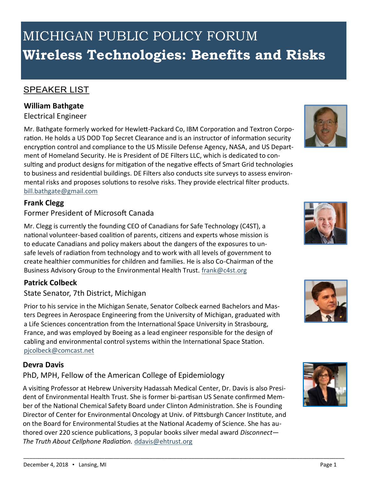# MICHIGAN PUBLIC POLICY FORUM **Wireless Technologies: Benefits and Risks**

#### SPEAKER LIST

#### **William Bathgate**

#### Electrical Engineer

Mr. Bathgate formerly worked for Hewlett-Packard Co, IBM Corporation and Textron Corporation. He holds a US DOD Top Secret Clearance and is an instructor of information security encryption control and compliance to the US Missile Defense Agency, NASA, and US Department of Homeland Security. He is President of DE Filters LLC, which is dedicated to consulting and product designs for mitigation of the negative effects of Smart Grid technologies to business and residential buildings. DE Filters also conducts site surveys to assess environmental risks and proposes solutions to resolve risks. They provide electrical filter products. bill.bathgate@gmail.com

#### **Frank Clegg**

#### Former President of Microsoft Canada

Mr. Clegg is currently the founding CEO of Canadians for Safe Technology (C4ST), a national volunteer-based coalition of parents, citizens and experts whose mission is to educate Canadians and policy makers about the dangers of the exposures to unsafe levels of radiation from technology and to work with all levels of government to create healthier communities for children and families. He is also Co-Chairman of the Business Advisory Group to the Environmental Health Trust. frank@c4st.org

#### **Patrick Colbeck**

#### State Senator, 7th District, Michigan

Prior to his service in the Michigan Senate, Senator Colbeck earned Bachelors and Masters Degrees in Aerospace Engineering from the University of Michigan, graduated with a Life Sciences concentration from the International Space University in Strasbourg, France, and was employed by Boeing as a lead engineer responsible for the design of cabling and environmental control systems within the International Space Station. pjcolbeck@comcast.net

#### **Devra Davis**

#### PhD, MPH, Fellow of the American College of Epidemiology

A visiting Professor at Hebrew University Hadassah Medical Center, Dr. Davis is also President of Environmental Health Trust. She is former bi-partisan US Senate confirmed Member of the National Chemical Safety Board under Clinton Administration. She is Founding Director of Center for Environmental Oncology at Univ. of Pittsburgh Cancer Institute, and on the Board for Environmental Studies at the National Academy of Science. She has authored over 220 science publications, 3 popular books silver medal award *Disconnect— The Truth About Cellphone Radiation.* ddavis@ehtrust.org

\_\_\_\_\_\_\_\_\_\_\_\_\_\_\_\_\_\_\_\_\_\_\_\_\_\_\_\_\_\_\_\_\_\_\_\_\_\_\_\_\_\_\_\_\_\_\_\_\_\_\_\_\_\_\_\_\_\_\_\_\_\_\_\_\_\_\_\_\_\_\_\_\_\_\_\_\_\_\_\_\_\_\_\_\_\_\_\_\_\_\_\_\_\_\_\_\_\_\_\_\_\_\_\_\_\_\_









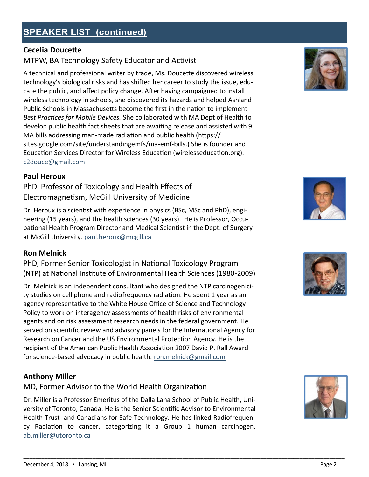## **SPEAKER LIST (continued)**

## **Cecelia Doucette**

## MTPW, BA Technology Safety Educator and Activist

A technical and professional writer by trade, Ms. Doucette discovered wireless technology's biological risks and has shifted her career to study the issue, educate the public, and affect policy change. After having campaigned to install wireless technology in schools, she discovered its hazards and helped Ashland Public Schools in Massachusetts become the first in the nation to implement *Best Practices for Mobile Devices.* She collaborated with MA Dept of Health to develop public health fact sheets that are awaiting release and assisted with 9 MA bills addressing man-made radiation and public health (https:// sites.google.com/site/understandingemfs/ma-emf-bills.) She is founder and Education Services Director for Wireless Education (wirelesseducation.org). c2douce@gmail.com

#### **Paul Heroux**

PhD, Professor of Toxicology and Health Effects of Electromagnetism, McGill University of Medicine

Dr. Heroux is a scientist with experience in physics (BSc, MSc and PhD), engineering (15 years), and the health sciences (30 years). He is Professor, Occupational Health Program Director and Medical Scientist in the Dept. of Surgery at McGill University. paul.heroux@mcgill.ca

#### **Ron Melnick**

PhD, Former Senior Toxicologist in National Toxicology Program (NTP) at National Institute of Environmental Health Sciences (1980-2009)

Dr. Melnick is an independent consultant who designed the NTP carcinogenicity studies on cell phone and radiofrequency radiation. He spent 1 year as an agency representative to the White House Office of Science and Technology Policy to work on interagency assessments of health risks of environmental agents and on risk assessment research needs in the federal government. He served on scientific review and advisory panels for the International Agency for Research on Cancer and the US Environmental Protection Agency. He is the recipient of the American Public Health Association 2007 David P. Rall Award for science-based advocacy in public health. ron.melnick@gmail.com

#### **Anthony Miller**

MD, Former Advisor to the World Health Organization

Dr. Miller is a Professor Emeritus of the Dalla Lana School of Public Health, University of Toronto, Canada. He is the Senior Scientific Advisor to Environmental Health Trust and Canadians for Safe Technology. He has linked Radiofrequency Radiation to cancer, categorizing it a Group 1 human carcinogen. ab.miller@utoronto.ca

\_\_\_\_\_\_\_\_\_\_\_\_\_\_\_\_\_\_\_\_\_\_\_\_\_\_\_\_\_\_\_\_\_\_\_\_\_\_\_\_\_\_\_\_\_\_\_\_\_\_\_\_\_\_\_\_\_\_\_\_\_\_\_\_\_\_\_\_\_\_\_\_\_\_\_\_\_\_\_\_\_\_\_\_\_\_\_\_\_\_\_\_\_\_\_\_\_\_\_\_\_\_\_\_\_\_\_







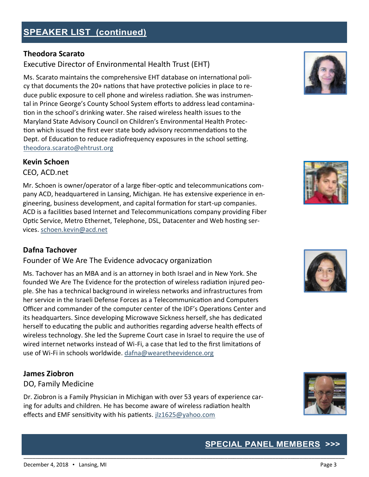## **Theodora Scarato**

## Executive Director of Environmental Health Trust (EHT)

Ms. Scarato maintains the comprehensive EHT database on international policy that documents the 20+ nations that have protective policies in place to reduce public exposure to cell phone and wireless radiation. She was instrumental in Prince George's County School System efforts to address lead contamination in the school's drinking water. She raised wireless health issues to the Maryland State Advisory Council on Children's Environmental Health Protection which issued the first ever state body advisory recommendations to the Dept. of Education to reduce radiofrequency exposures in the school setting. theodora.scarato@ehtrust.org

## **Kevin Schoen**

CEO, ACD.net

Mr. Schoen is owner/operator of a large fiber-optic and telecommunications company ACD, headquartered in Lansing, Michigan. He has extensive experience in engineering, business development, and capital formation for start-up companies. ACD is a facilities based Internet and Telecommunications company providing Fiber Optic Service, Metro Ethernet, Telephone, DSL, Datacenter and Web hosting services. schoen.kevin@acd.net

## **Dafna Tachover**

Founder of We Are The Evidence advocacy organization

Ms. Tachover has an MBA and is an attorney in both Israel and in New York. She founded We Are The Evidence for the protection of wireless radiation injured people. She has a technical background in wireless networks and infrastructures from her service in the Israeli Defense Forces as a Telecommunication and Computers Officer and commander of the computer center of the IDF's Operations Center and its headquarters. Since developing Microwave Sickness herself, she has dedicated herself to educating the public and authorities regarding adverse health effects of wireless technology. She led the Supreme Court case in Israel to require the use of wired internet networks instead of Wi-Fi, a case that led to the first limitations of use of Wi-Fi in schools worldwide. dafna@wearetheevidence.org

## **James Ziobron**

## DO, Family Medicine

Dr. Ziobron is a Family Physician in Michigan with over 53 years of experience caring for adults and children. He has become aware of wireless radiation health effects and EMF sensitivity with his patients. jlz1625@yahoo.com

\_\_\_\_\_\_\_\_\_\_\_\_\_\_\_\_\_\_\_\_\_\_\_\_\_\_\_\_\_\_\_\_\_\_\_\_\_\_\_\_\_\_\_\_\_\_\_\_\_\_\_\_\_\_\_\_\_\_\_\_\_\_\_\_\_\_\_\_\_\_\_\_\_\_\_\_\_\_\_\_\_\_\_\_\_\_\_\_\_\_\_\_\_\_\_\_\_\_\_\_\_\_\_\_\_\_\_









## **SPECIAL PANEL MEMBERS**